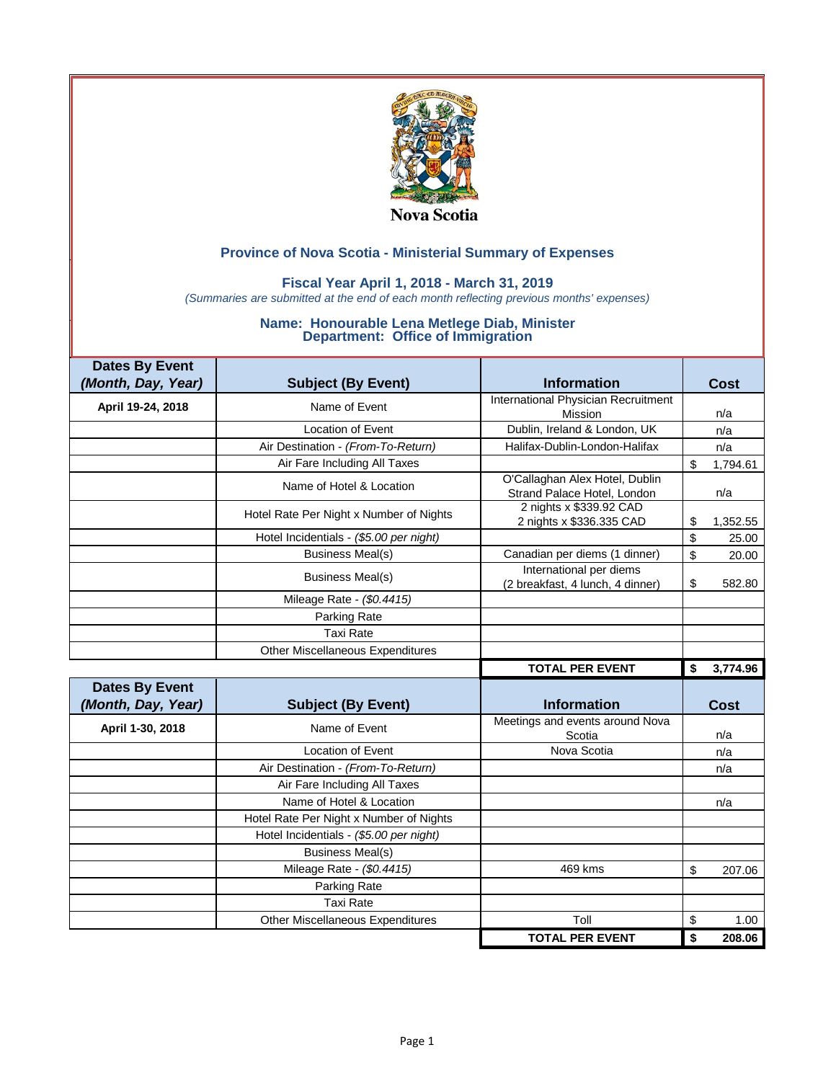

### **Fiscal Year April 1, 2018 - March 31, 2019**

*(Summaries are submitted at the end of each month reflecting previous months' expenses)*

| <b>Dates By Event</b>                       |                                         |                                                               |                |
|---------------------------------------------|-----------------------------------------|---------------------------------------------------------------|----------------|
| (Month, Day, Year)                          | <b>Subject (By Event)</b>               | <b>Information</b>                                            | Cost           |
| April 19-24, 2018                           | Name of Event                           | International Physician Recruitment                           |                |
|                                             |                                         | Mission                                                       | n/a            |
|                                             | <b>Location of Event</b>                | Dublin, Ireland & London, UK                                  | n/a            |
|                                             | Air Destination - (From-To-Return)      | Halifax-Dublin-London-Halifax                                 | n/a            |
|                                             | Air Fare Including All Taxes            |                                                               | \$<br>1,794.61 |
|                                             | Name of Hotel & Location                | O'Callaghan Alex Hotel, Dublin<br>Strand Palace Hotel, London | n/a            |
|                                             | Hotel Rate Per Night x Number of Nights | 2 nights x \$339.92 CAD<br>2 nights x \$336.335 CAD           | 1,352.55<br>\$ |
|                                             | Hotel Incidentials - (\$5.00 per night) |                                                               | \$<br>25.00    |
|                                             | <b>Business Meal(s)</b>                 | Canadian per diems (1 dinner)                                 | \$<br>20.00    |
|                                             | <b>Business Meal(s)</b>                 | International per diems<br>(2 breakfast, 4 lunch, 4 dinner)   | \$<br>582.80   |
|                                             | Mileage Rate - (\$0.4415)               |                                                               |                |
|                                             | Parking Rate                            |                                                               |                |
|                                             | <b>Taxi Rate</b>                        |                                                               |                |
|                                             |                                         |                                                               |                |
|                                             | <b>Other Miscellaneous Expenditures</b> |                                                               |                |
|                                             |                                         | <b>TOTAL PER EVENT</b>                                        | 3,774.96<br>\$ |
| <b>Dates By Event</b><br>(Month, Day, Year) | <b>Subject (By Event)</b>               | <b>Information</b>                                            | <b>Cost</b>    |
| April 1-30, 2018                            | Name of Event                           | Meetings and events around Nova<br>Scotia                     | n/a            |
|                                             | <b>Location of Event</b>                | Nova Scotia                                                   | n/a            |
|                                             | Air Destination - (From-To-Return)      |                                                               | n/a            |
|                                             | Air Fare Including All Taxes            |                                                               |                |
|                                             | Name of Hotel & Location                |                                                               | n/a            |
|                                             | Hotel Rate Per Night x Number of Nights |                                                               |                |
|                                             | Hotel Incidentials - (\$5.00 per night) |                                                               |                |
|                                             | <b>Business Meal(s)</b>                 |                                                               |                |
|                                             | Mileage Rate - (\$0.4415)               | 469 kms                                                       | \$<br>207.06   |
|                                             | Parking Rate                            |                                                               |                |
|                                             | <b>Taxi Rate</b>                        |                                                               |                |
|                                             | Other Miscellaneous Expenditures        | Toll                                                          | \$<br>1.00     |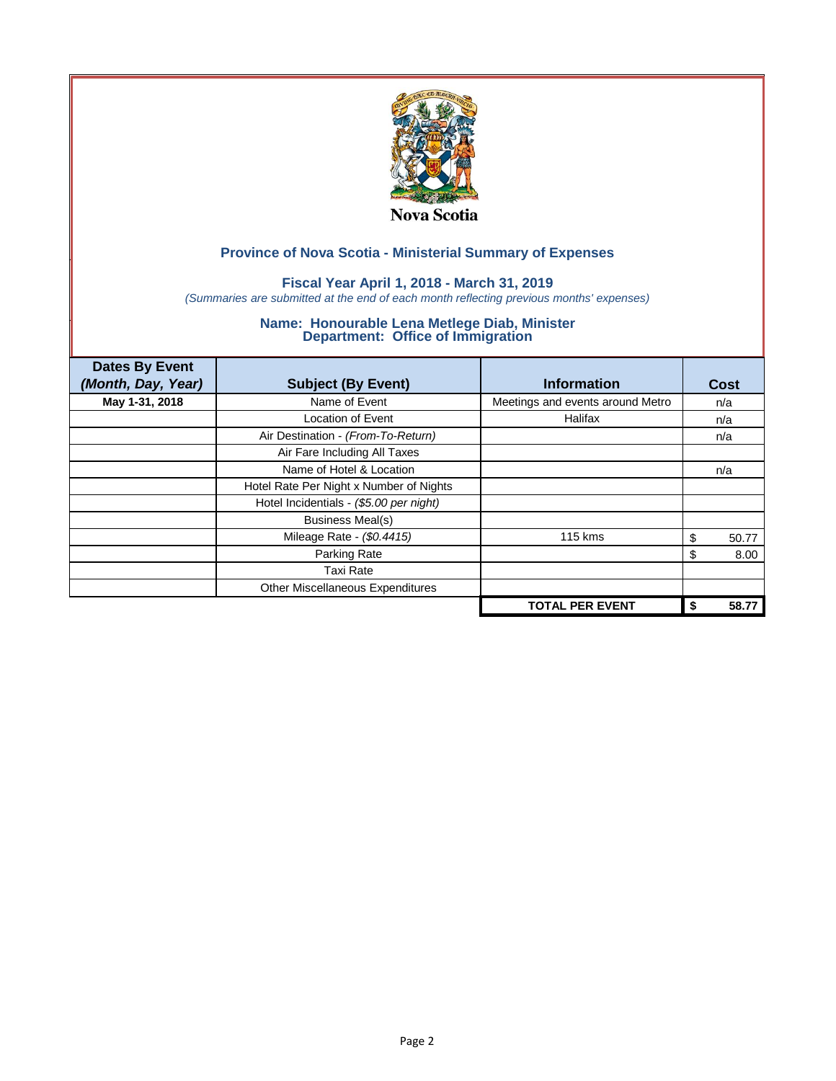

### **Fiscal Year April 1, 2018 - March 31, 2019**

*(Summaries are submitted at the end of each month reflecting previous months' expenses)*

| <b>Dates By Event</b><br>(Month, Day, Year) | <b>Subject (By Event)</b>               | <b>Information</b>               | Cost        |
|---------------------------------------------|-----------------------------------------|----------------------------------|-------------|
| May 1-31, 2018                              | Name of Event                           | Meetings and events around Metro | n/a         |
|                                             | <b>Location of Event</b>                | Halifax                          | n/a         |
|                                             | Air Destination - (From-To-Return)      |                                  | n/a         |
|                                             | Air Fare Including All Taxes            |                                  |             |
|                                             | Name of Hotel & Location                |                                  | n/a         |
|                                             | Hotel Rate Per Night x Number of Nights |                                  |             |
|                                             | Hotel Incidentials - (\$5.00 per night) |                                  |             |
|                                             | <b>Business Meal(s)</b>                 |                                  |             |
|                                             | Mileage Rate - (\$0.4415)               | 115 kms                          | 50.77<br>S. |
|                                             | Parking Rate                            |                                  | 8.00<br>S   |
|                                             | Taxi Rate                               |                                  |             |
|                                             | Other Miscellaneous Expenditures        |                                  |             |
|                                             |                                         | <b>TOTAL PER EVENT</b>           | 58.77<br>\$ |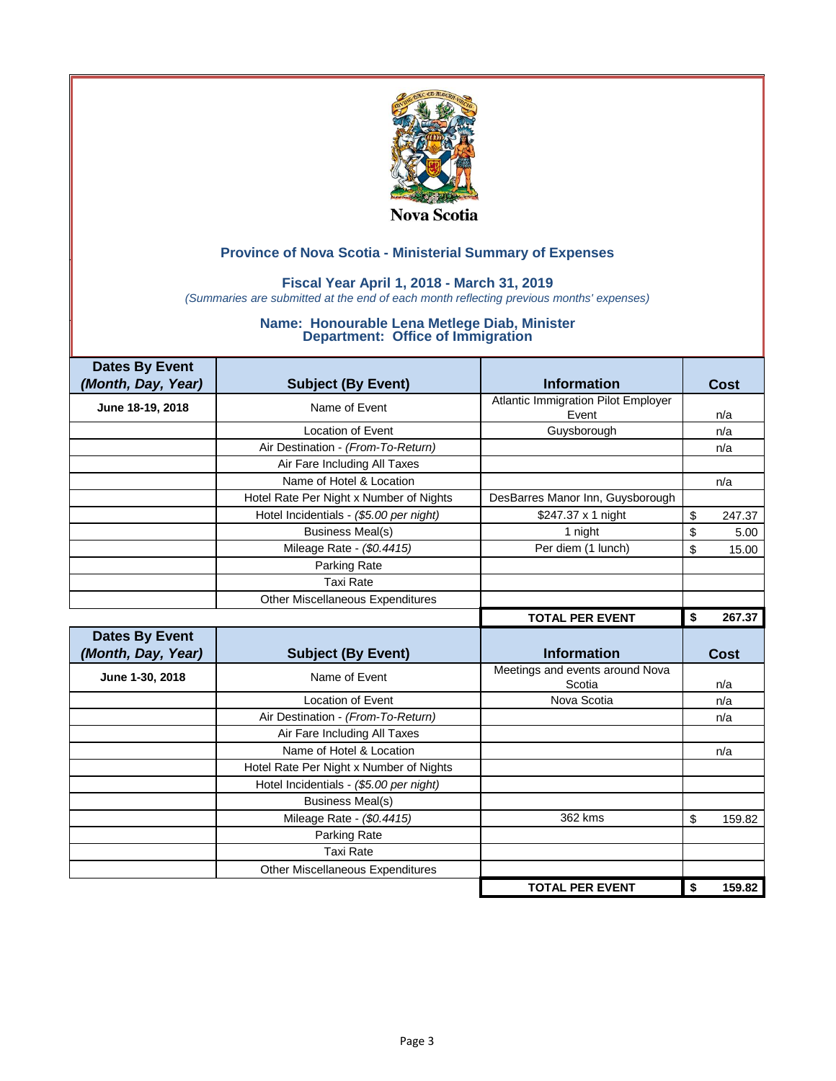

### **Fiscal Year April 1, 2018 - March 31, 2019**

*(Summaries are submitted at the end of each month reflecting previous months' expenses)*

| <b>Dates By Event</b> |                                         |                                           |              |
|-----------------------|-----------------------------------------|-------------------------------------------|--------------|
| (Month, Day, Year)    | <b>Subject (By Event)</b>               | <b>Information</b>                        | Cost         |
| June 18-19, 2018      | Name of Event                           | Atlantic Immigration Pilot Employer       |              |
|                       |                                         | Event                                     | n/a          |
|                       | <b>Location of Event</b>                | Guysborough                               | n/a          |
|                       | Air Destination - (From-To-Return)      |                                           | n/a          |
|                       | Air Fare Including All Taxes            |                                           |              |
|                       | Name of Hotel & Location                |                                           | n/a          |
|                       | Hotel Rate Per Night x Number of Nights | DesBarres Manor Inn, Guysborough          |              |
|                       | Hotel Incidentials - (\$5.00 per night) | \$247.37 x 1 night                        | \$<br>247.37 |
|                       | <b>Business Meal(s)</b>                 | 1 night                                   | \$<br>5.00   |
|                       | Mileage Rate - (\$0.4415)               | Per diem (1 lunch)                        | \$<br>15.00  |
|                       | Parking Rate                            |                                           |              |
|                       | <b>Taxi Rate</b>                        |                                           |              |
|                       | <b>Other Miscellaneous Expenditures</b> |                                           |              |
|                       |                                         | <b>TOTAL PER EVENT</b>                    | 267.37<br>\$ |
|                       |                                         |                                           |              |
| <b>Dates By Event</b> |                                         |                                           |              |
| (Month, Day, Year)    | <b>Subject (By Event)</b>               | <b>Information</b>                        | Cost         |
| June 1-30, 2018       | Name of Event                           | Meetings and events around Nova<br>Scotia | n/a          |
|                       | Location of Event                       | Nova Scotia                               | n/a          |
|                       | Air Destination - (From-To-Return)      |                                           | n/a          |
|                       | Air Fare Including All Taxes            |                                           |              |
|                       | Name of Hotel & Location                |                                           | n/a          |
|                       | Hotel Rate Per Night x Number of Nights |                                           |              |
|                       | Hotel Incidentials - (\$5.00 per night) |                                           |              |
|                       | <b>Business Meal(s)</b>                 |                                           |              |
|                       | Mileage Rate - (\$0.4415)               | 362 kms                                   | \$           |
|                       | Parking Rate                            |                                           |              |
|                       | <b>Taxi Rate</b>                        |                                           |              |
|                       | <b>Other Miscellaneous Expenditures</b> |                                           | 159.82       |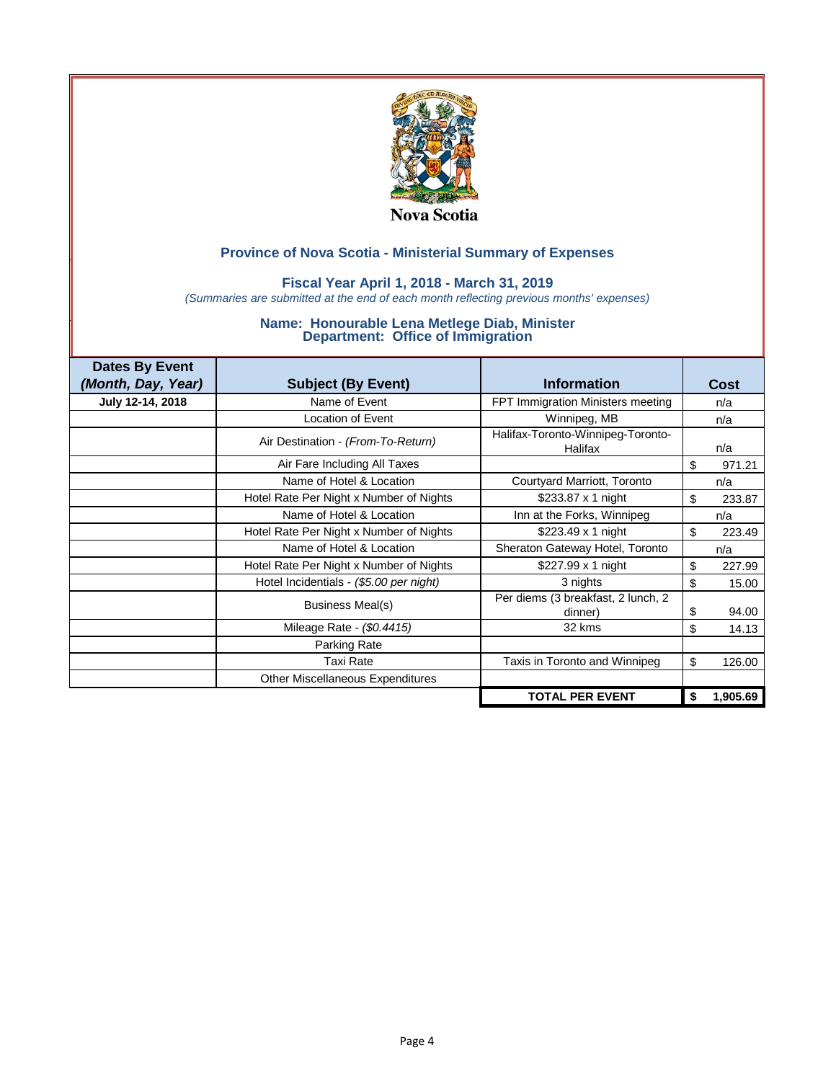

### **Fiscal Year April 1, 2018 - March 31, 2019**

*(Summaries are submitted at the end of each month reflecting previous months' expenses)*

| <b>Dates By Event</b> |                                         |                                               |                |
|-----------------------|-----------------------------------------|-----------------------------------------------|----------------|
| (Month, Day, Year)    | <b>Subject (By Event)</b>               | <b>Information</b>                            | Cost           |
| July 12-14, 2018      | Name of Event                           | FPT Immigration Ministers meeting             | n/a            |
|                       | Location of Event                       | Winnipeg, MB                                  | n/a            |
|                       | Air Destination - (From-To-Return)      | Halifax-Toronto-Winnipeg-Toronto-<br>Halifax  | n/a            |
|                       | Air Fare Including All Taxes            |                                               | \$<br>971.21   |
|                       | Name of Hotel & Location                | Courtyard Marriott, Toronto                   | n/a            |
|                       | Hotel Rate Per Night x Number of Nights | \$233.87 x 1 night                            | \$<br>233.87   |
|                       | Name of Hotel & Location                | Inn at the Forks, Winnipeg                    | n/a            |
|                       | Hotel Rate Per Night x Number of Nights | \$223.49 x 1 night                            | \$<br>223.49   |
|                       | Name of Hotel & Location                | Sheraton Gateway Hotel, Toronto               | n/a            |
|                       | Hotel Rate Per Night x Number of Nights | \$227.99 $\times$ 1 night                     | \$<br>227.99   |
|                       | Hotel Incidentials - (\$5.00 per night) | 3 nights                                      | \$<br>15.00    |
|                       | <b>Business Meal(s)</b>                 | Per diems (3 breakfast, 2 lunch, 2<br>dinner) | \$<br>94.00    |
|                       | Mileage Rate - (\$0.4415)               | 32 kms                                        | \$<br>14.13    |
|                       | Parking Rate                            |                                               |                |
|                       | <b>Taxi Rate</b>                        | Taxis in Toronto and Winnipeg                 | \$<br>126.00   |
|                       | <b>Other Miscellaneous Expenditures</b> |                                               |                |
|                       |                                         | <b>TOTAL PER EVENT</b>                        | \$<br>1,905.69 |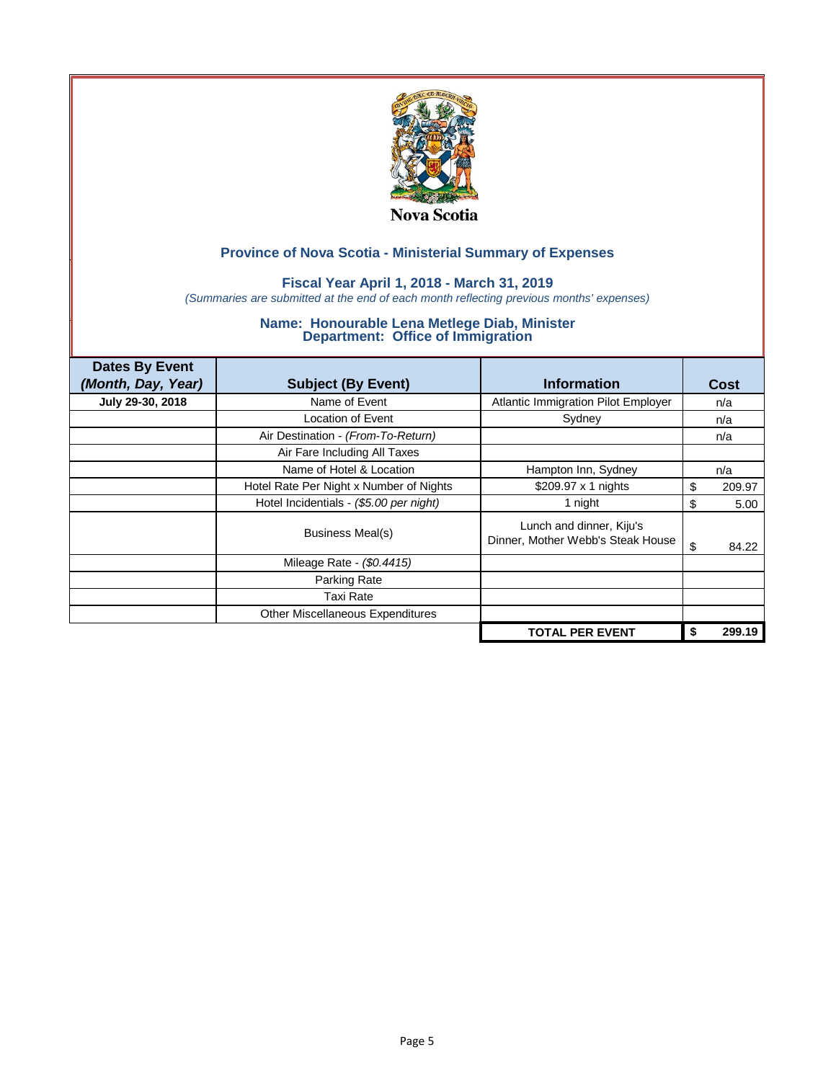

### **Fiscal Year April 1, 2018 - March 31, 2019**

*(Summaries are submitted at the end of each month reflecting previous months' expenses)*

| <b>Dates By Event</b><br>(Month, Day, Year) | <b>Subject (By Event)</b>               | <b>Information</b>                                            | Cost         |
|---------------------------------------------|-----------------------------------------|---------------------------------------------------------------|--------------|
| July 29-30, 2018                            | Name of Event                           | <b>Atlantic Immigration Pilot Employer</b>                    | n/a          |
|                                             | Location of Event                       | Sydney                                                        | n/a          |
|                                             | Air Destination - (From-To-Return)      |                                                               | n/a          |
|                                             | Air Fare Including All Taxes            |                                                               |              |
|                                             | Name of Hotel & Location                | Hampton Inn, Sydney                                           | n/a          |
|                                             | Hotel Rate Per Night x Number of Nights | \$209.97 x 1 nights                                           | \$<br>209.97 |
|                                             | Hotel Incidentials - (\$5.00 per night) | 1 night                                                       | \$<br>5.00   |
|                                             | Business Meal(s)                        | Lunch and dinner, Kiju's<br>Dinner, Mother Webb's Steak House | \$<br>84.22  |
|                                             | Mileage Rate - (\$0.4415)               |                                                               |              |
|                                             | Parking Rate                            |                                                               |              |
|                                             | Taxi Rate                               |                                                               |              |
|                                             | Other Miscellaneous Expenditures        |                                                               |              |
|                                             |                                         | <b>TOTAL PER EVENT</b>                                        | 299.19       |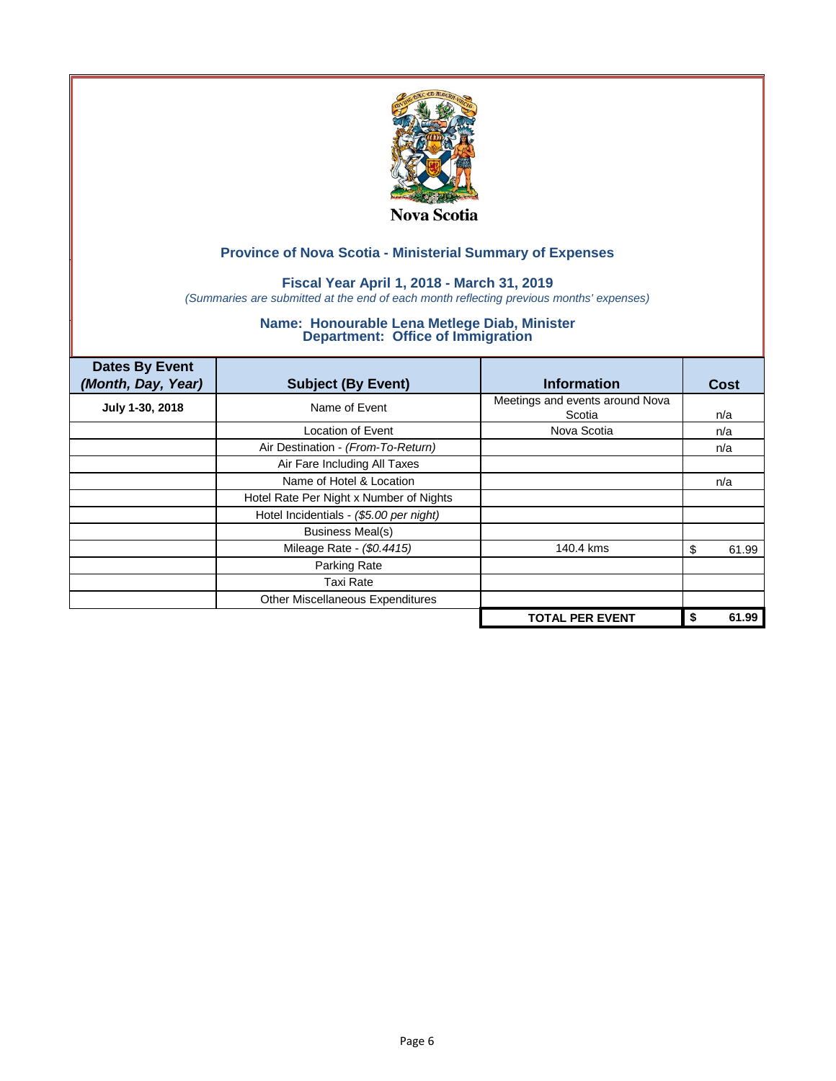

### **Fiscal Year April 1, 2018 - March 31, 2019**

*(Summaries are submitted at the end of each month reflecting previous months' expenses)*

| <b>Dates By Event</b><br>(Month, Day, Year) | <b>Subject (By Event)</b>               | <b>Information</b>                        | <b>Cost</b> |
|---------------------------------------------|-----------------------------------------|-------------------------------------------|-------------|
| July 1-30, 2018                             | Name of Event                           | Meetings and events around Nova<br>Scotia | n/a         |
|                                             | Location of Event                       | Nova Scotia                               | n/a         |
|                                             | Air Destination - (From-To-Return)      |                                           | n/a         |
|                                             | Air Fare Including All Taxes            |                                           |             |
|                                             | Name of Hotel & Location                |                                           | n/a         |
|                                             | Hotel Rate Per Night x Number of Nights |                                           |             |
|                                             | Hotel Incidentials - (\$5.00 per night) |                                           |             |
|                                             | <b>Business Meal(s)</b>                 |                                           |             |
|                                             | Mileage Rate - (\$0.4415)               | 140.4 kms                                 | 61.99<br>\$ |
|                                             | Parking Rate                            |                                           |             |
|                                             | Taxi Rate                               |                                           |             |
|                                             | <b>Other Miscellaneous Expenditures</b> |                                           |             |
|                                             |                                         | <b>TOTAL PER EVENT</b>                    | 61.99<br>\$ |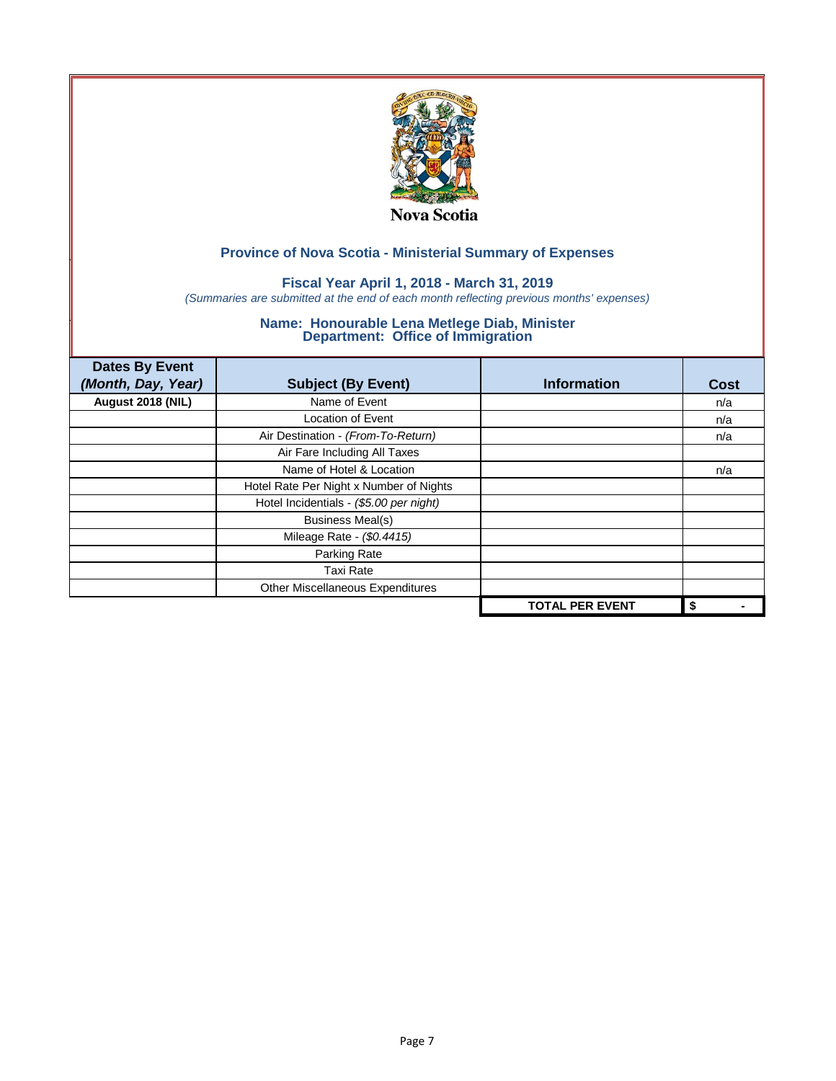

### **Fiscal Year April 1, 2018 - March 31, 2019**

*(Summaries are submitted at the end of each month reflecting previous months' expenses)*

| <b>Dates By Event</b><br>(Month, Day, Year) | <b>Subject (By Event)</b>               | <b>Information</b>     | <b>Cost</b> |
|---------------------------------------------|-----------------------------------------|------------------------|-------------|
| August 2018 (NIL)                           | Name of Event                           |                        | n/a         |
|                                             | <b>Location of Event</b>                |                        | n/a         |
|                                             | Air Destination - (From-To-Return)      |                        | n/a         |
|                                             | Air Fare Including All Taxes            |                        |             |
|                                             | Name of Hotel & Location                |                        | n/a         |
|                                             | Hotel Rate Per Night x Number of Nights |                        |             |
|                                             | Hotel Incidentials - (\$5.00 per night) |                        |             |
|                                             | <b>Business Meal(s)</b>                 |                        |             |
|                                             | Mileage Rate - (\$0.4415)               |                        |             |
|                                             | Parking Rate                            |                        |             |
|                                             | <b>Taxi Rate</b>                        |                        |             |
|                                             | Other Miscellaneous Expenditures        |                        |             |
|                                             |                                         | <b>TOTAL PER EVENT</b> | \$          |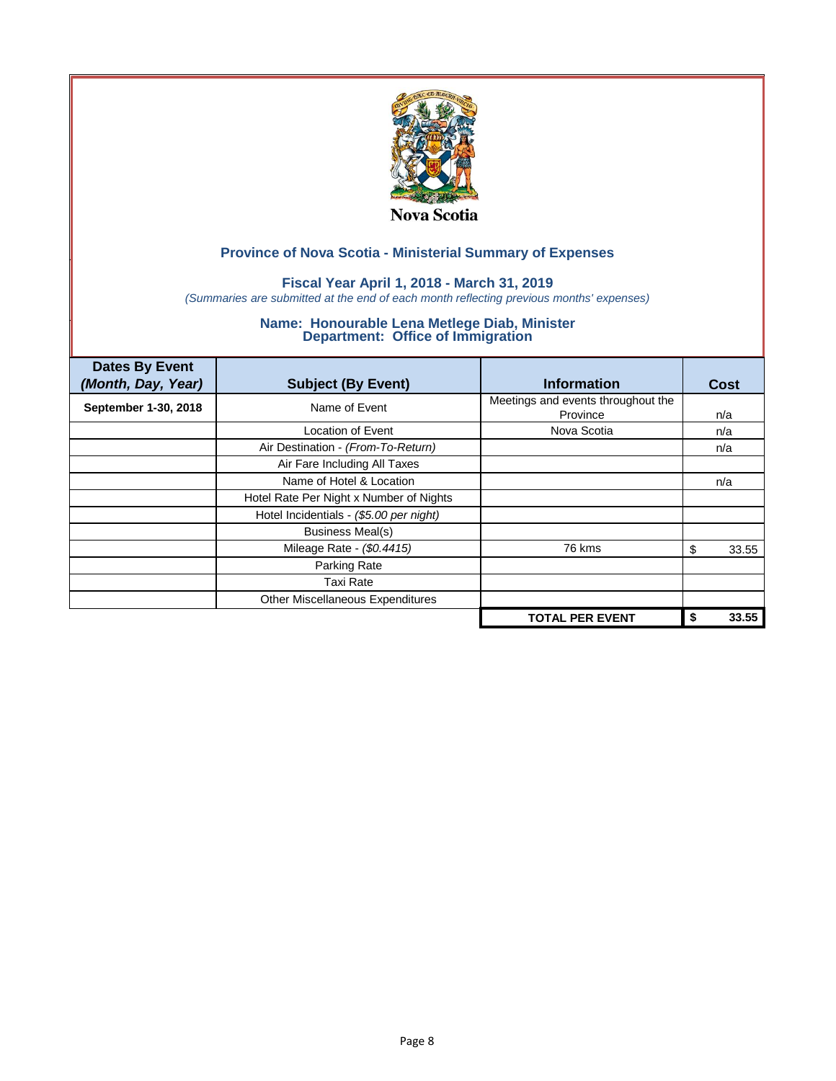

### **Fiscal Year April 1, 2018 - March 31, 2019**

*(Summaries are submitted at the end of each month reflecting previous months' expenses)*

| <b>Dates By Event</b><br>(Month, Day, Year) | <b>Subject (By Event)</b>               | <b>Information</b>                             | <b>Cost</b> |
|---------------------------------------------|-----------------------------------------|------------------------------------------------|-------------|
| September 1-30, 2018                        | Name of Event                           | Meetings and events throughout the<br>Province | n/a         |
|                                             | Location of Event                       | Nova Scotia                                    | n/a         |
|                                             | Air Destination - (From-To-Return)      |                                                | n/a         |
|                                             | Air Fare Including All Taxes            |                                                |             |
|                                             | Name of Hotel & Location                |                                                | n/a         |
|                                             | Hotel Rate Per Night x Number of Nights |                                                |             |
|                                             | Hotel Incidentials - (\$5.00 per night) |                                                |             |
|                                             | <b>Business Meal(s)</b>                 |                                                |             |
|                                             | Mileage Rate - (\$0.4415)               | 76 kms                                         | 33.55<br>S  |
|                                             | Parking Rate                            |                                                |             |
|                                             | <b>Taxi Rate</b>                        |                                                |             |
|                                             | Other Miscellaneous Expenditures        |                                                |             |
|                                             |                                         | <b>TOTAL PER EVENT</b>                         | 33.55<br>\$ |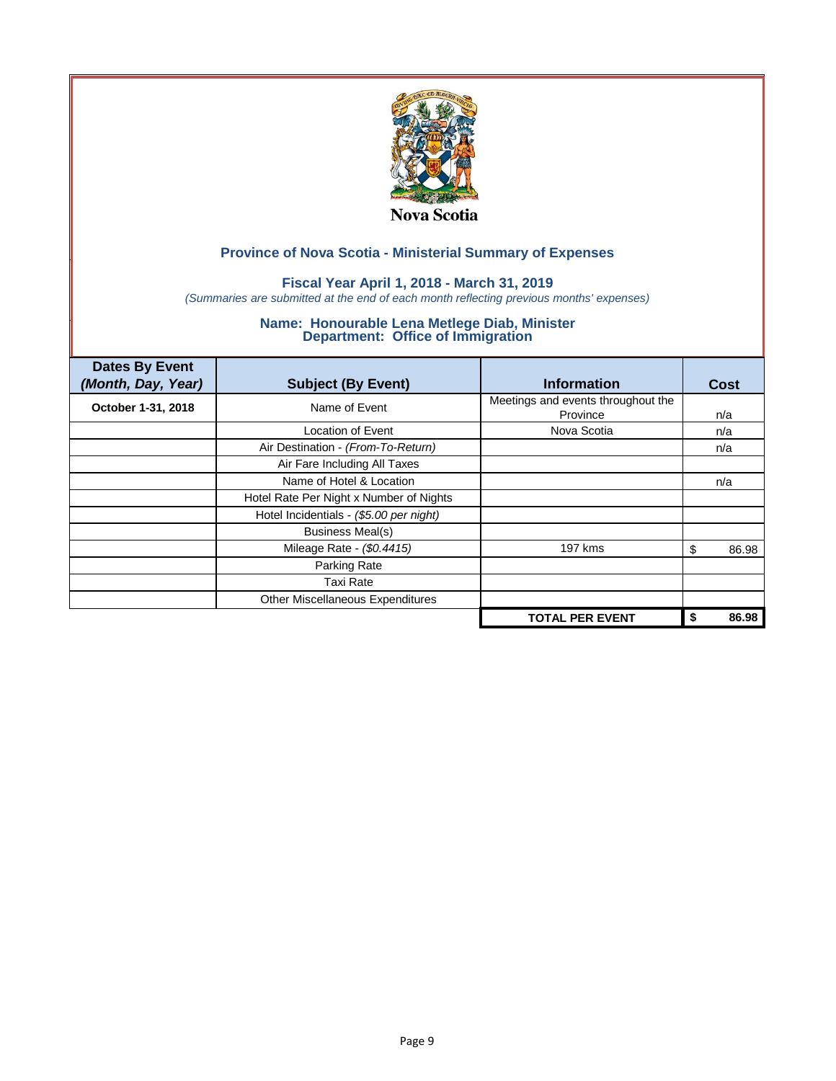

### **Fiscal Year April 1, 2018 - March 31, 2019**

*(Summaries are submitted at the end of each month reflecting previous months' expenses)*

| <b>Dates By Event</b><br>(Month, Day, Year) | <b>Subject (By Event)</b>               | <b>Information</b>                             | <b>Cost</b> |
|---------------------------------------------|-----------------------------------------|------------------------------------------------|-------------|
| October 1-31, 2018                          | Name of Event                           | Meetings and events throughout the<br>Province | n/a         |
|                                             | Location of Event                       | Nova Scotia                                    | n/a         |
|                                             | Air Destination - (From-To-Return)      |                                                | n/a         |
|                                             | Air Fare Including All Taxes            |                                                |             |
|                                             | Name of Hotel & Location                |                                                | n/a         |
|                                             | Hotel Rate Per Night x Number of Nights |                                                |             |
|                                             | Hotel Incidentials - (\$5.00 per night) |                                                |             |
|                                             | <b>Business Meal(s)</b>                 |                                                |             |
|                                             | Mileage Rate - (\$0.4415)               | 197 kms                                        | 86.98<br>\$ |
|                                             | Parking Rate                            |                                                |             |
|                                             | <b>Taxi Rate</b>                        |                                                |             |
|                                             | Other Miscellaneous Expenditures        |                                                |             |
|                                             |                                         | <b>TOTAL PER EVENT</b>                         | 86.98<br>S  |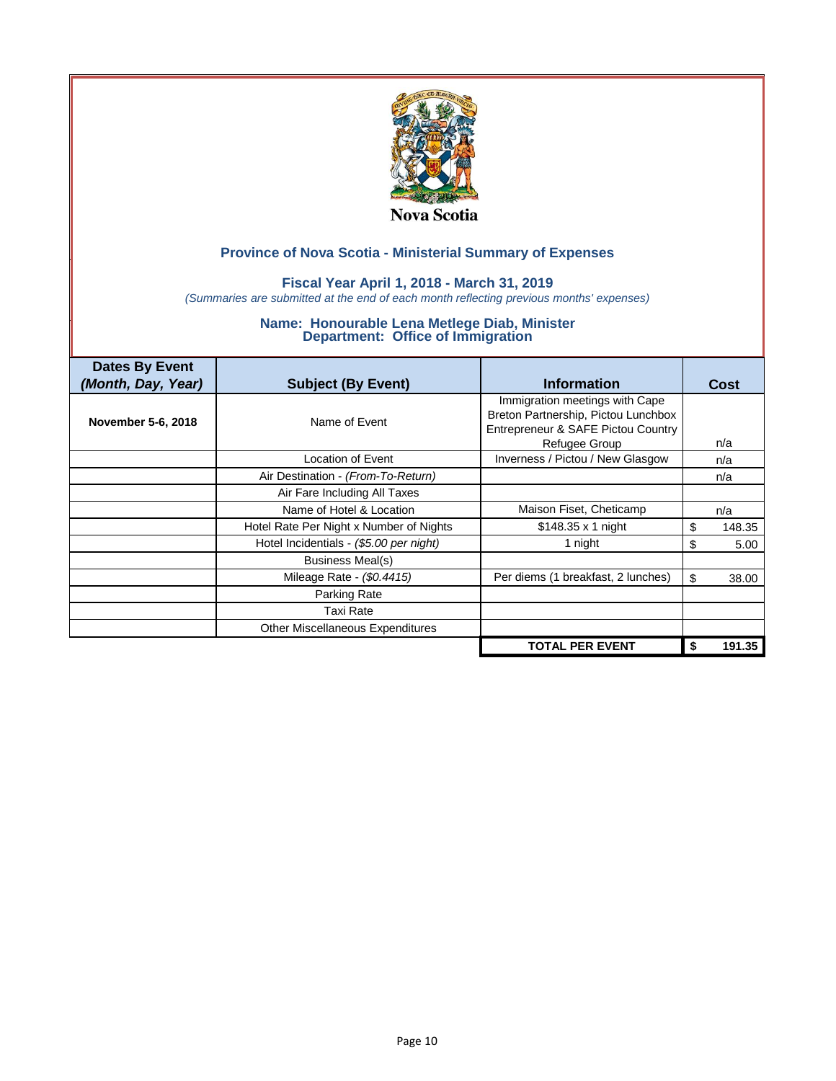

### **Fiscal Year April 1, 2018 - March 31, 2019**

*(Summaries are submitted at the end of each month reflecting previous months' expenses)*

| <b>Dates By Event</b> |                                         |                                                                                                             |              |
|-----------------------|-----------------------------------------|-------------------------------------------------------------------------------------------------------------|--------------|
| (Month, Day, Year)    | <b>Subject (By Event)</b>               | <b>Information</b>                                                                                          | <b>Cost</b>  |
| November 5-6, 2018    | Name of Event                           | Immigration meetings with Cape<br>Breton Partnership, Pictou Lunchbox<br>Entrepreneur & SAFE Pictou Country |              |
|                       |                                         | Refugee Group                                                                                               | n/a          |
|                       | Location of Event                       | Inverness / Pictou / New Glasgow                                                                            | n/a          |
|                       | Air Destination - (From-To-Return)      |                                                                                                             | n/a          |
|                       | Air Fare Including All Taxes            |                                                                                                             |              |
|                       | Name of Hotel & Location                | Maison Fiset, Cheticamp                                                                                     | n/a          |
|                       | Hotel Rate Per Night x Number of Nights | $$148.35 \times 1$ night                                                                                    | \$<br>148.35 |
|                       | Hotel Incidentials - (\$5.00 per night) | 1 night                                                                                                     | \$<br>5.00   |
|                       | Business Meal(s)                        |                                                                                                             |              |
|                       | Mileage Rate - (\$0.4415)               | Per diems (1 breakfast, 2 lunches)                                                                          | \$<br>38.00  |
|                       | Parking Rate                            |                                                                                                             |              |
|                       | Taxi Rate                               |                                                                                                             |              |
|                       | <b>Other Miscellaneous Expenditures</b> |                                                                                                             |              |
|                       |                                         | <b>TOTAL PER EVENT</b>                                                                                      | 191.35       |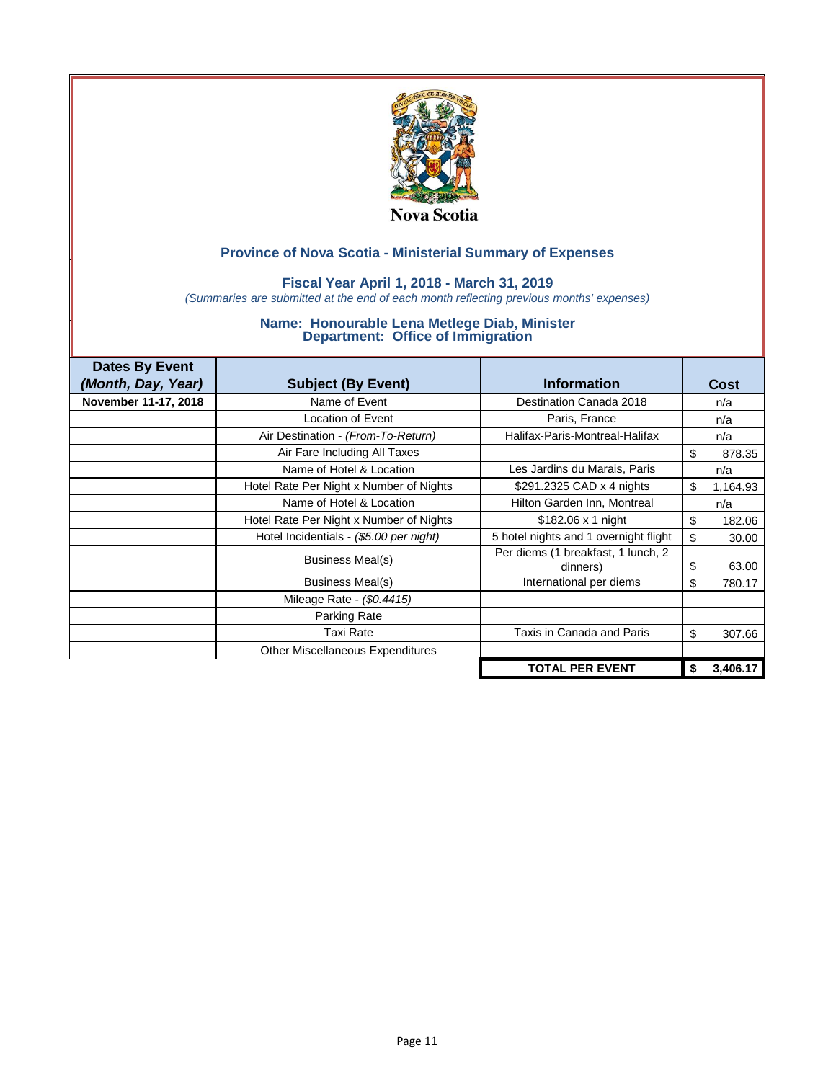

### **Fiscal Year April 1, 2018 - March 31, 2019**

*(Summaries are submitted at the end of each month reflecting previous months' expenses)*

| <b>Dates By Event</b> |                                         |                                                |      |          |
|-----------------------|-----------------------------------------|------------------------------------------------|------|----------|
| (Month, Day, Year)    | <b>Subject (By Event)</b>               | <b>Information</b>                             | Cost |          |
| November 11-17, 2018  | Name of Event                           | Destination Canada 2018                        | n/a  |          |
|                       | Location of Event                       | Paris, France                                  | n/a  |          |
|                       | Air Destination - (From-To-Return)      | Halifax-Paris-Montreal-Halifax                 | n/a  |          |
|                       | Air Fare Including All Taxes            |                                                | \$   | 878.35   |
|                       | Name of Hotel & Location                | Les Jardins du Marais, Paris                   | n/a  |          |
|                       | Hotel Rate Per Night x Number of Nights | \$291.2325 CAD x 4 nights                      | \$   | 1,164.93 |
|                       | Name of Hotel & Location                | Hilton Garden Inn, Montreal                    | n/a  |          |
|                       | Hotel Rate Per Night x Number of Nights | $$182.06 \times 1$ night                       | \$   | 182.06   |
|                       | Hotel Incidentials - (\$5.00 per night) | 5 hotel nights and 1 overnight flight          | \$   | 30.00    |
|                       | Business Meal(s)                        | Per diems (1 breakfast, 1 lunch, 2<br>dinners) | \$   | 63.00    |
|                       | Business Meal(s)                        | International per diems                        | \$   | 780.17   |
|                       | Mileage Rate - (\$0.4415)               |                                                |      |          |
|                       | Parking Rate                            |                                                |      |          |
|                       | Taxi Rate                               | Taxis in Canada and Paris                      | \$   | 307.66   |
|                       | Other Miscellaneous Expenditures        |                                                |      |          |
|                       |                                         | <b>TOTAL PER EVENT</b>                         | \$   | 3,406.17 |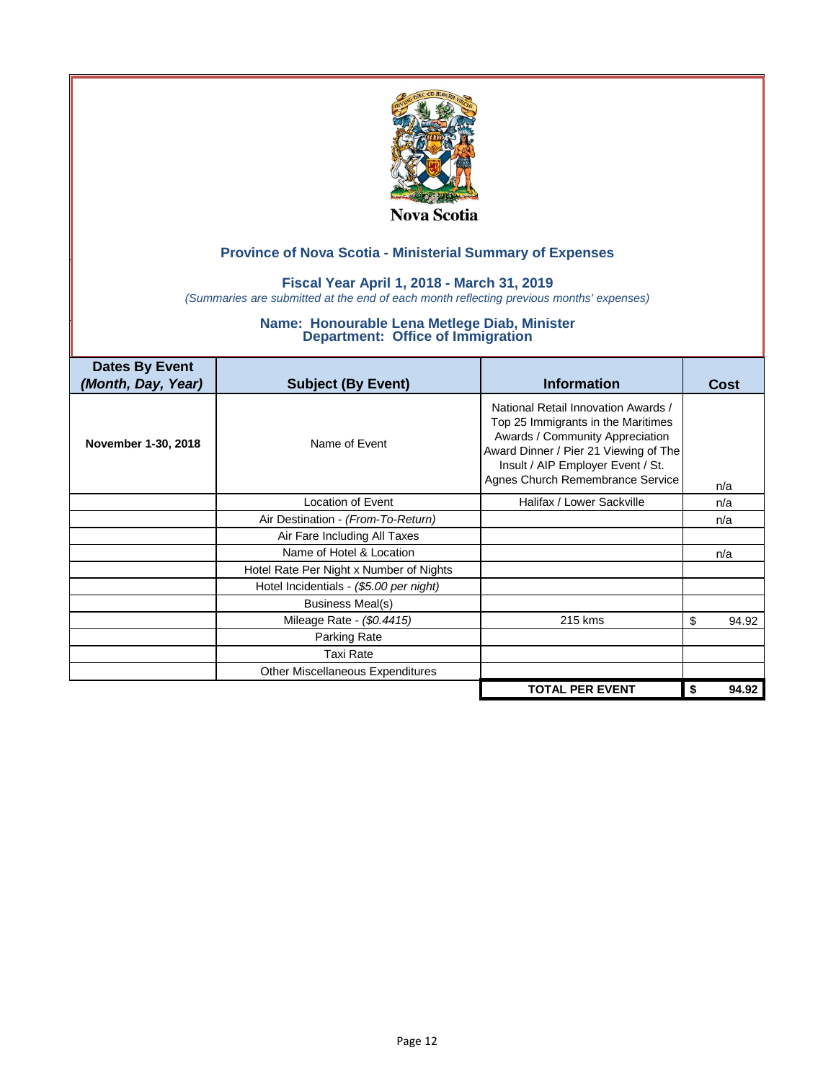

### **Fiscal Year April 1, 2018 - March 31, 2019**

*(Summaries are submitted at the end of each month reflecting previous months' expenses)*

| <b>Dates By Event</b><br>(Month, Day, Year) | <b>Subject (By Event)</b>               | <b>Information</b>                                                                                                                                                                                                             |    | Cost  |
|---------------------------------------------|-----------------------------------------|--------------------------------------------------------------------------------------------------------------------------------------------------------------------------------------------------------------------------------|----|-------|
| November 1-30, 2018                         | Name of Event                           | National Retail Innovation Awards /<br>Top 25 Immigrants in the Maritimes<br>Awards / Community Appreciation<br>Award Dinner / Pier 21 Viewing of The<br>Insult / AIP Employer Event / St.<br>Agnes Church Remembrance Service |    | n/a   |
|                                             | <b>Location of Event</b>                | Halifax / Lower Sackville                                                                                                                                                                                                      |    | n/a   |
|                                             | Air Destination - (From-To-Return)      |                                                                                                                                                                                                                                |    | n/a   |
|                                             | Air Fare Including All Taxes            |                                                                                                                                                                                                                                |    |       |
|                                             | Name of Hotel & Location                |                                                                                                                                                                                                                                |    | n/a   |
|                                             | Hotel Rate Per Night x Number of Nights |                                                                                                                                                                                                                                |    |       |
|                                             | Hotel Incidentials - (\$5.00 per night) |                                                                                                                                                                                                                                |    |       |
|                                             | <b>Business Meal(s)</b>                 |                                                                                                                                                                                                                                |    |       |
|                                             | Mileage Rate - (\$0.4415)               | 215 kms                                                                                                                                                                                                                        | \$ | 94.92 |
|                                             | Parking Rate                            |                                                                                                                                                                                                                                |    |       |
|                                             | <b>Taxi Rate</b>                        |                                                                                                                                                                                                                                |    |       |
|                                             | Other Miscellaneous Expenditures        |                                                                                                                                                                                                                                |    |       |
|                                             |                                         | <b>TOTAL PER EVENT</b>                                                                                                                                                                                                         | S. | 94.92 |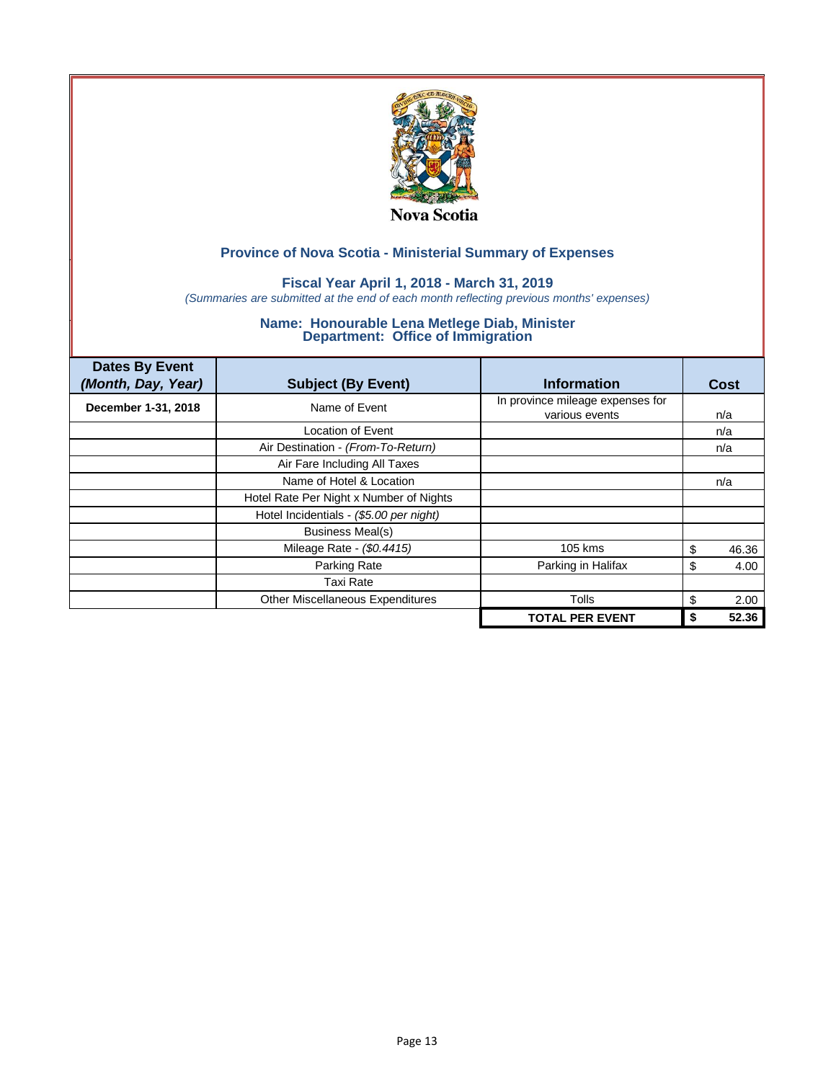

### **Fiscal Year April 1, 2018 - March 31, 2019**

*(Summaries are submitted at the end of each month reflecting previous months' expenses)*

| <b>Dates By Event</b><br>(Month, Day, Year) | <b>Subject (By Event)</b>               | <b>Information</b>                                 | Cost       |
|---------------------------------------------|-----------------------------------------|----------------------------------------------------|------------|
| December 1-31, 2018                         | Name of Event                           | In province mileage expenses for<br>various events | n/a        |
|                                             | Location of Event                       |                                                    | n/a        |
|                                             | Air Destination - (From-To-Return)      |                                                    | n/a        |
|                                             | Air Fare Including All Taxes            |                                                    |            |
|                                             | Name of Hotel & Location                |                                                    | n/a        |
|                                             | Hotel Rate Per Night x Number of Nights |                                                    |            |
|                                             | Hotel Incidentials - (\$5.00 per night) |                                                    |            |
|                                             | <b>Business Meal(s)</b>                 |                                                    |            |
|                                             | Mileage Rate - (\$0.4415)               | 105 kms                                            | 46.36<br>S |
|                                             | Parking Rate                            | Parking in Halifax                                 | S<br>4.00  |
|                                             | <b>Taxi Rate</b>                        |                                                    |            |
|                                             | Other Miscellaneous Expenditures        | Tolls                                              | \$<br>2.00 |
|                                             |                                         | <b>TOTAL PER EVENT</b>                             | 52.36      |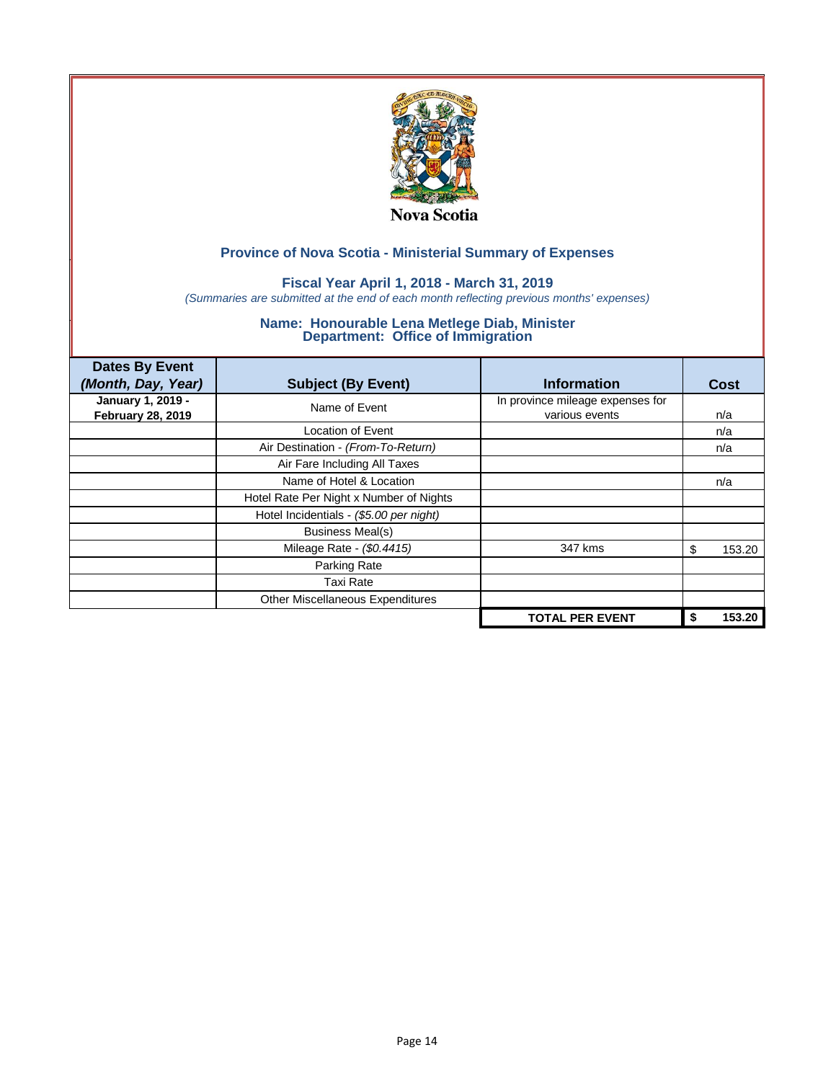

### **Fiscal Year April 1, 2018 - March 31, 2019**

*(Summaries are submitted at the end of each month reflecting previous months' expenses)*

| <b>Dates By Event</b><br>(Month, Day, Year)   | <b>Subject (By Event)</b>               | <b>Information</b>                                 | <b>Cost</b>  |
|-----------------------------------------------|-----------------------------------------|----------------------------------------------------|--------------|
| January 1, 2019 -<br><b>February 28, 2019</b> | Name of Event                           | In province mileage expenses for<br>various events | n/a          |
|                                               | Location of Event                       |                                                    | n/a          |
|                                               | Air Destination - (From-To-Return)      |                                                    | n/a          |
|                                               | Air Fare Including All Taxes            |                                                    |              |
|                                               | Name of Hotel & Location                |                                                    | n/a          |
|                                               | Hotel Rate Per Night x Number of Nights |                                                    |              |
|                                               | Hotel Incidentials - (\$5.00 per night) |                                                    |              |
|                                               | <b>Business Meal(s)</b>                 |                                                    |              |
|                                               | Mileage Rate - (\$0.4415)               | 347 kms                                            | 153.20<br>S  |
|                                               | Parking Rate                            |                                                    |              |
|                                               | <b>Taxi Rate</b>                        |                                                    |              |
|                                               | Other Miscellaneous Expenditures        |                                                    |              |
|                                               |                                         | <b>TOTAL PER EVENT</b>                             | 153.20<br>\$ |